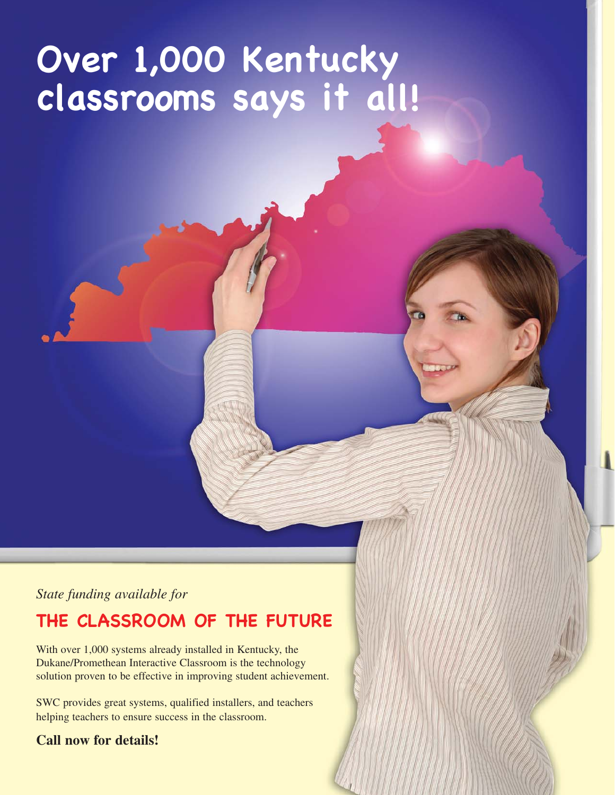# **Over 1,000 Kentucky classrooms says it all!**

*State funding available for* 

## **THE CLASSROOM OF THE FUTURE**

With over 1,000 systems already installed in Kentucky, the Dukane/Promethean Interactive Classroom is the technology solution proven to be effective in improving student achievement.

SWC provides great systems, qualified installers, and teachers helping teachers to ensure success in the classroom.

#### **Call now for details!**